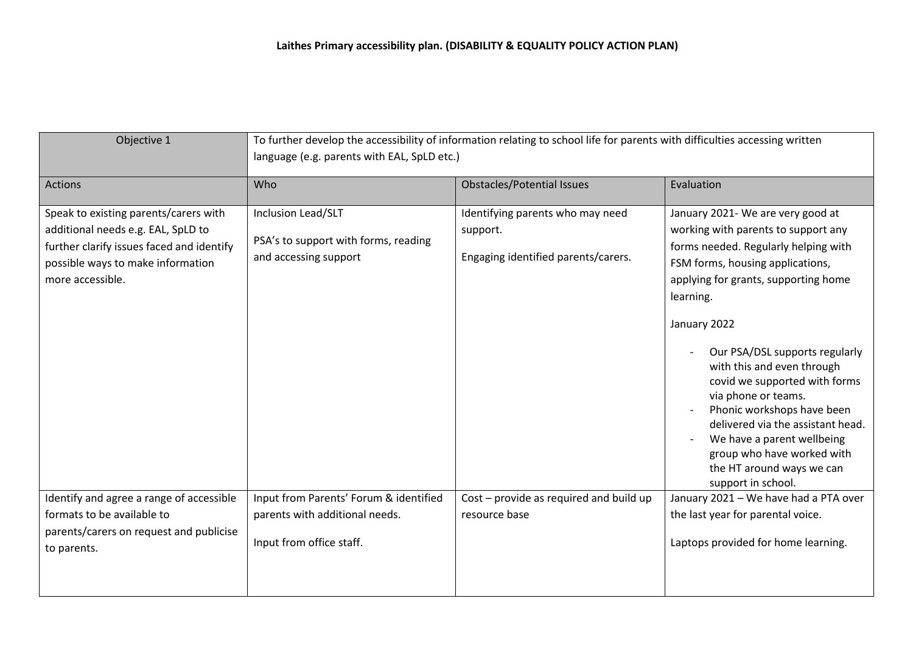| Objective 1                                                                                                                                                                       | To further develop the accessibility of information relating to school life for parents with difficulties accessing written<br>language (e.g. parents with EAL, SpLD etc.) |                                                                                     |                                                                                                                                                                                                                                                                                                                                                                                                                                                                                                                                     |
|-----------------------------------------------------------------------------------------------------------------------------------------------------------------------------------|----------------------------------------------------------------------------------------------------------------------------------------------------------------------------|-------------------------------------------------------------------------------------|-------------------------------------------------------------------------------------------------------------------------------------------------------------------------------------------------------------------------------------------------------------------------------------------------------------------------------------------------------------------------------------------------------------------------------------------------------------------------------------------------------------------------------------|
| <b>Actions</b>                                                                                                                                                                    | Who                                                                                                                                                                        | <b>Obstacles/Potential Issues</b>                                                   | Evaluation                                                                                                                                                                                                                                                                                                                                                                                                                                                                                                                          |
| Speak to existing parents/carers with<br>additional needs e.g. EAL, SpLD to<br>further clarify issues faced and identify<br>possible ways to make information<br>more accessible. | Inclusion Lead/SLT<br>PSA's to support with forms, reading<br>and accessing support                                                                                        | Identifying parents who may need<br>support.<br>Engaging identified parents/carers. | January 2021- We are very good at<br>working with parents to support any<br>forms needed. Regularly helping with<br>FSM forms, housing applications,<br>applying for grants, supporting home<br>learning.<br>January 2022<br>Our PSA/DSL supports regularly<br>with this and even through<br>covid we supported with forms<br>via phone or teams.<br>Phonic workshops have been<br>delivered via the assistant head.<br>We have a parent wellbeing<br>group who have worked with<br>the HT around ways we can<br>support in school. |
| Identify and agree a range of accessible                                                                                                                                          | Input from Parents' Forum & identified                                                                                                                                     | Cost - provide as required and build up                                             | January 2021 - We have had a PTA over                                                                                                                                                                                                                                                                                                                                                                                                                                                                                               |
| formats to be available to                                                                                                                                                        | parents with additional needs.                                                                                                                                             | resource base                                                                       | the last year for parental voice.                                                                                                                                                                                                                                                                                                                                                                                                                                                                                                   |
| parents/carers on request and publicise<br>to parents.                                                                                                                            | Input from office staff.                                                                                                                                                   |                                                                                     | Laptops provided for home learning.                                                                                                                                                                                                                                                                                                                                                                                                                                                                                                 |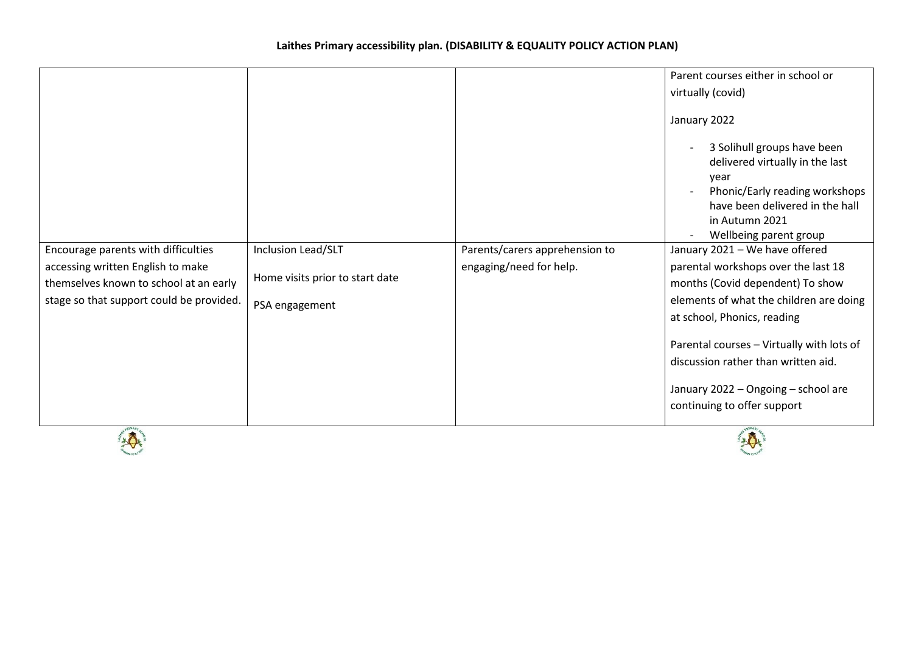| Encourage parents with difficulties<br>accessing written English to make<br>themselves known to school at an early<br>stage so that support could be provided. | Inclusion Lead/SLT<br>Home visits prior to start date<br>PSA engagement | Parents/carers apprehension to<br>engaging/need for help. | Parent courses either in school or<br>virtually (covid)<br>January 2022<br>3 Solihull groups have been<br>$\overline{\phantom{a}}$<br>delivered virtually in the last<br>year<br>Phonic/Early reading workshops<br>have been delivered in the hall<br>in Autumn 2021<br>Wellbeing parent group<br>$\overline{\phantom{a}}$<br>January 2021 - We have offered<br>parental workshops over the last 18<br>months (Covid dependent) To show<br>elements of what the children are doing<br>at school, Phonics, reading |
|----------------------------------------------------------------------------------------------------------------------------------------------------------------|-------------------------------------------------------------------------|-----------------------------------------------------------|-------------------------------------------------------------------------------------------------------------------------------------------------------------------------------------------------------------------------------------------------------------------------------------------------------------------------------------------------------------------------------------------------------------------------------------------------------------------------------------------------------------------|
|                                                                                                                                                                |                                                                         |                                                           | Parental courses - Virtually with lots of<br>discussion rather than written aid.                                                                                                                                                                                                                                                                                                                                                                                                                                  |
| FRIMARY                                                                                                                                                        |                                                                         |                                                           | January 2022 - Ongoing - school are<br>continuing to offer support<br><b>EPRIMARY</b>                                                                                                                                                                                                                                                                                                                                                                                                                             |



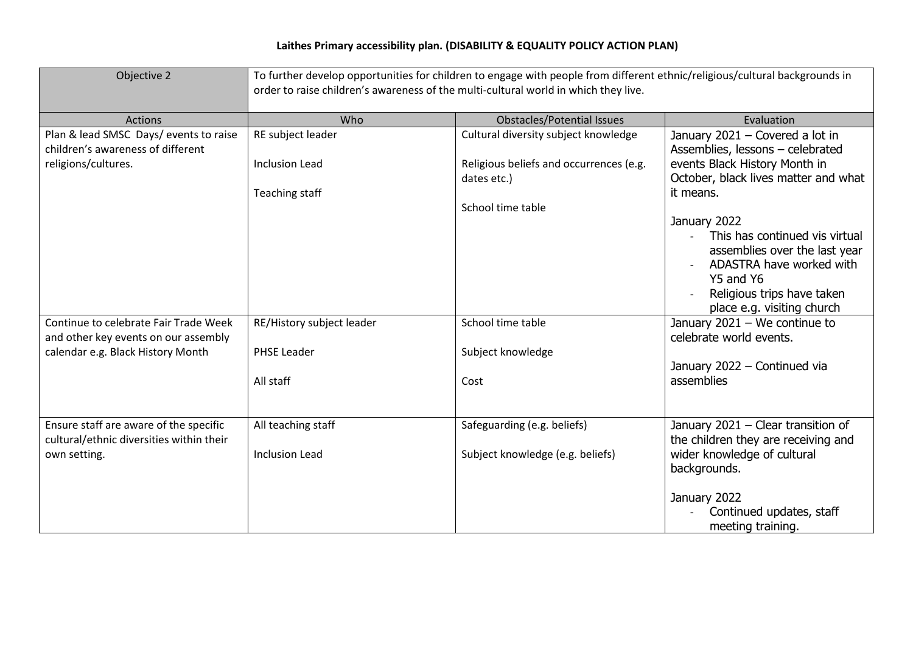| Objective 2                                                                                        | To further develop opportunities for children to engage with people from different ethnic/religious/cultural backgrounds in<br>order to raise children's awareness of the multi-cultural world in which they live. |                                                                 |                                                                                                                                                                                      |  |
|----------------------------------------------------------------------------------------------------|--------------------------------------------------------------------------------------------------------------------------------------------------------------------------------------------------------------------|-----------------------------------------------------------------|--------------------------------------------------------------------------------------------------------------------------------------------------------------------------------------|--|
| <b>Actions</b>                                                                                     | Who                                                                                                                                                                                                                | <b>Obstacles/Potential Issues</b>                               | Evaluation                                                                                                                                                                           |  |
| Plan & lead SMSC Days/ events to raise<br>children's awareness of different                        | RE subject leader                                                                                                                                                                                                  | Cultural diversity subject knowledge                            | January 2021 - Covered a lot in<br>Assemblies, lessons - celebrated                                                                                                                  |  |
| religions/cultures.                                                                                | <b>Inclusion Lead</b>                                                                                                                                                                                              | Religious beliefs and occurrences (e.g.<br>dates etc.)          | events Black History Month in<br>October, black lives matter and what                                                                                                                |  |
|                                                                                                    | Teaching staff                                                                                                                                                                                                     |                                                                 | it means.                                                                                                                                                                            |  |
|                                                                                                    |                                                                                                                                                                                                                    | School time table                                               | January 2022<br>This has continued vis virtual<br>assemblies over the last year<br>ADASTRA have worked with<br>Y5 and Y6<br>Religious trips have taken<br>place e.g. visiting church |  |
| Continue to celebrate Fair Trade Week<br>and other key events on our assembly                      | RE/History subject leader                                                                                                                                                                                          | School time table                                               | January $2021 -$ We continue to<br>celebrate world events.                                                                                                                           |  |
| calendar e.g. Black History Month                                                                  | PHSE Leader                                                                                                                                                                                                        | Subject knowledge                                               | January 2022 - Continued via                                                                                                                                                         |  |
|                                                                                                    | All staff                                                                                                                                                                                                          | Cost                                                            | assemblies                                                                                                                                                                           |  |
| Ensure staff are aware of the specific<br>cultural/ethnic diversities within their<br>own setting. | All teaching staff<br><b>Inclusion Lead</b>                                                                                                                                                                        | Safeguarding (e.g. beliefs)<br>Subject knowledge (e.g. beliefs) | January 2021 - Clear transition of<br>the children they are receiving and<br>wider knowledge of cultural<br>backgrounds.<br>January 2022<br>Continued updates, staff                 |  |
|                                                                                                    |                                                                                                                                                                                                                    |                                                                 | meeting training.                                                                                                                                                                    |  |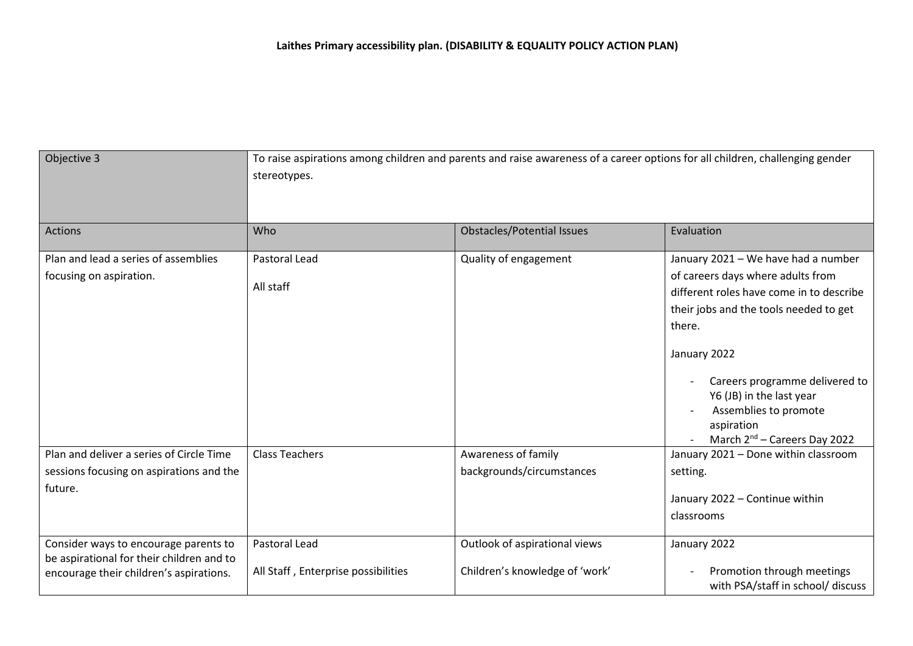| Objective 3                                                                                                                   | To raise aspirations among children and parents and raise awareness of a career options for all children, challenging gender<br>stereotypes. |                                                                 |                                                                                                                                                                                                                                                                                                                                           |
|-------------------------------------------------------------------------------------------------------------------------------|----------------------------------------------------------------------------------------------------------------------------------------------|-----------------------------------------------------------------|-------------------------------------------------------------------------------------------------------------------------------------------------------------------------------------------------------------------------------------------------------------------------------------------------------------------------------------------|
| <b>Actions</b>                                                                                                                | Who                                                                                                                                          | <b>Obstacles/Potential Issues</b>                               | Evaluation                                                                                                                                                                                                                                                                                                                                |
| Plan and lead a series of assemblies<br>focusing on aspiration.                                                               | <b>Pastoral Lead</b><br>All staff                                                                                                            | Quality of engagement                                           | January 2021 - We have had a number<br>of careers days where adults from<br>different roles have come in to describe<br>their jobs and the tools needed to get<br>there.<br>January 2022<br>Careers programme delivered to<br>Y6 (JB) in the last year<br>Assemblies to promote<br>aspiration<br>March 2 <sup>nd</sup> – Careers Day 2022 |
| Plan and deliver a series of Circle Time<br>sessions focusing on aspirations and the<br>future.                               | <b>Class Teachers</b>                                                                                                                        | Awareness of family<br>backgrounds/circumstances                | January 2021 - Done within classroom<br>setting.<br>January 2022 - Continue within<br>classrooms                                                                                                                                                                                                                                          |
| Consider ways to encourage parents to<br>be aspirational for their children and to<br>encourage their children's aspirations. | Pastoral Lead<br>All Staff, Enterprise possibilities                                                                                         | Outlook of aspirational views<br>Children's knowledge of 'work' | January 2022<br>Promotion through meetings<br>with PSA/staff in school/ discuss                                                                                                                                                                                                                                                           |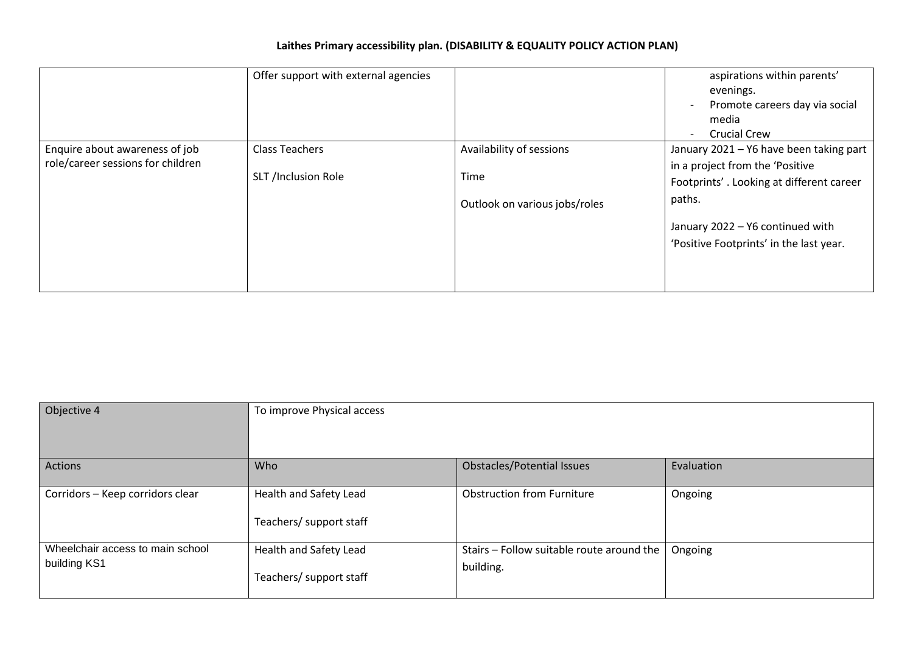|                                                                     | Offer support with external agencies         |                                                                   | aspirations within parents'<br>evenings.<br>Promote careers day via social<br>$\overline{\phantom{a}}$<br>media<br><b>Crucial Crew</b><br>$\sim$ |
|---------------------------------------------------------------------|----------------------------------------------|-------------------------------------------------------------------|--------------------------------------------------------------------------------------------------------------------------------------------------|
| Enquire about awareness of job<br>role/career sessions for children | <b>Class Teachers</b><br>SLT /Inclusion Role | Availability of sessions<br>Time<br>Outlook on various jobs/roles | January 2021 - Y6 have been taking part<br>in a project from the 'Positive<br>Footprints'. Looking at different career<br>paths.                 |
|                                                                     |                                              |                                                                   | January 2022 - Y6 continued with<br>'Positive Footprints' in the last year.                                                                      |

| Objective 4                                      | To improve Physical access                        |                                                        |            |
|--------------------------------------------------|---------------------------------------------------|--------------------------------------------------------|------------|
| Actions                                          | Who                                               | <b>Obstacles/Potential Issues</b>                      | Evaluation |
| Corridors - Keep corridors clear                 | Health and Safety Lead<br>Teachers/ support staff | <b>Obstruction from Furniture</b>                      | Ongoing    |
| Wheelchair access to main school<br>building KS1 | Health and Safety Lead<br>Teachers/ support staff | Stairs - Follow suitable route around the<br>building. | Ongoing    |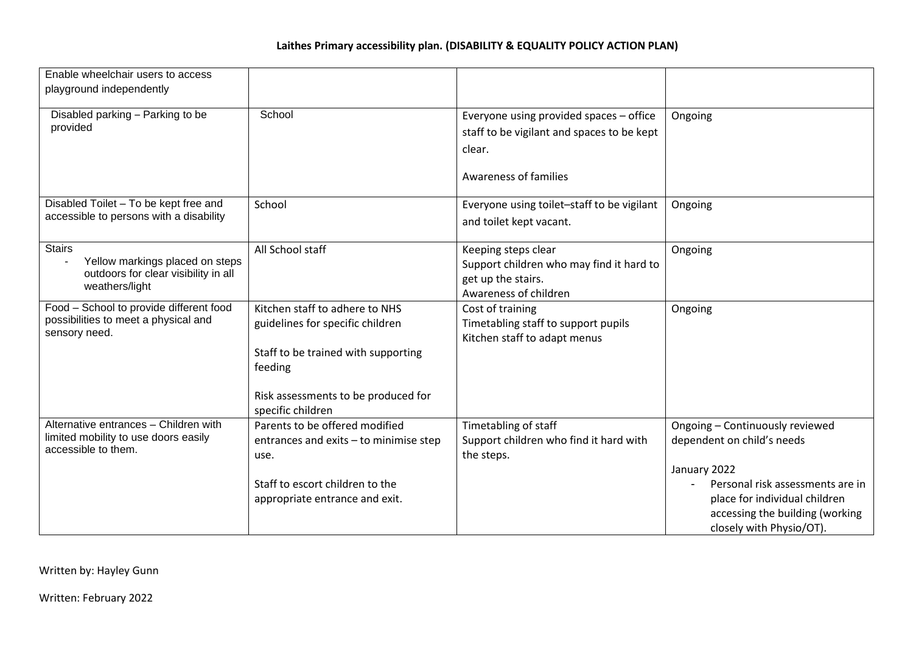| Enable wheelchair users to access                                                                          |                                                                                                                                                                                  |                                                                                                                                 |                                                                                                                                                                                                                   |
|------------------------------------------------------------------------------------------------------------|----------------------------------------------------------------------------------------------------------------------------------------------------------------------------------|---------------------------------------------------------------------------------------------------------------------------------|-------------------------------------------------------------------------------------------------------------------------------------------------------------------------------------------------------------------|
| playground independently                                                                                   |                                                                                                                                                                                  |                                                                                                                                 |                                                                                                                                                                                                                   |
| Disabled parking - Parking to be<br>provided                                                               | School                                                                                                                                                                           | Everyone using provided spaces - office<br>staff to be vigilant and spaces to be kept<br>clear.<br><b>Awareness of families</b> | Ongoing                                                                                                                                                                                                           |
| Disabled Toilet - To be kept free and<br>accessible to persons with a disability                           | School                                                                                                                                                                           | Everyone using toilet-staff to be vigilant<br>and toilet kept vacant.                                                           | Ongoing                                                                                                                                                                                                           |
| <b>Stairs</b><br>Yellow markings placed on steps<br>outdoors for clear visibility in all<br>weathers/light | All School staff                                                                                                                                                                 | Keeping steps clear<br>Support children who may find it hard to<br>get up the stairs.<br>Awareness of children                  | Ongoing                                                                                                                                                                                                           |
| Food - School to provide different food<br>possibilities to meet a physical and<br>sensory need.           | Kitchen staff to adhere to NHS<br>guidelines for specific children<br>Staff to be trained with supporting<br>feeding<br>Risk assessments to be produced for<br>specific children | Cost of training<br>Timetabling staff to support pupils<br>Kitchen staff to adapt menus                                         | Ongoing                                                                                                                                                                                                           |
| Alternative entrances - Children with<br>limited mobility to use doors easily<br>accessible to them.       | Parents to be offered modified<br>entrances and exits - to minimise step<br>use.<br>Staff to escort children to the<br>appropriate entrance and exit.                            | Timetabling of staff<br>Support children who find it hard with<br>the steps.                                                    | Ongoing - Continuously reviewed<br>dependent on child's needs<br>January 2022<br>Personal risk assessments are in<br>place for individual children<br>accessing the building (working<br>closely with Physio/OT). |

Written by: Hayley Gunn